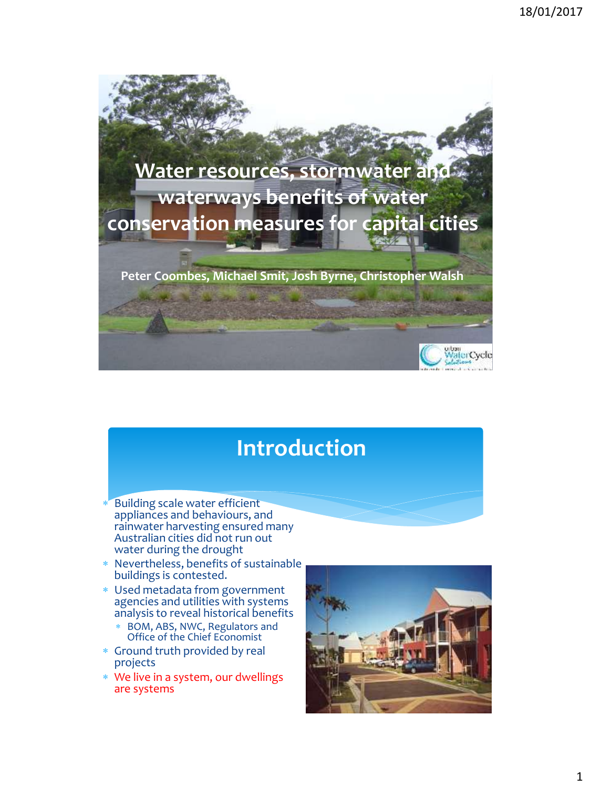

# **Introduction**

- Building scale water efficient appliances and behaviours, and rainwater harvesting ensured many Australian cities did not run out water during the drought
- Nevertheless, benefits of sustainable buildings is contested.
- Used metadata from government agencies and utilities with systems analysis to reveal historical benefits
	- BOM, ABS, NWC, Regulators and Office of the Chief Economist
- Ground truth provided by real projects
- We live in a system, our dwellings are systems

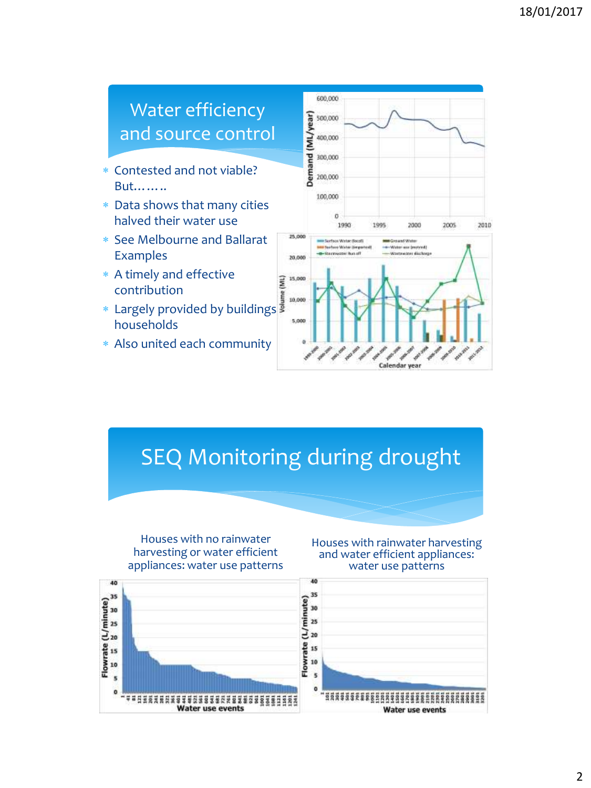

## SEQ Monitoring during drought



Houses with rainwater harvesting and water efficient appliances: water use patterns

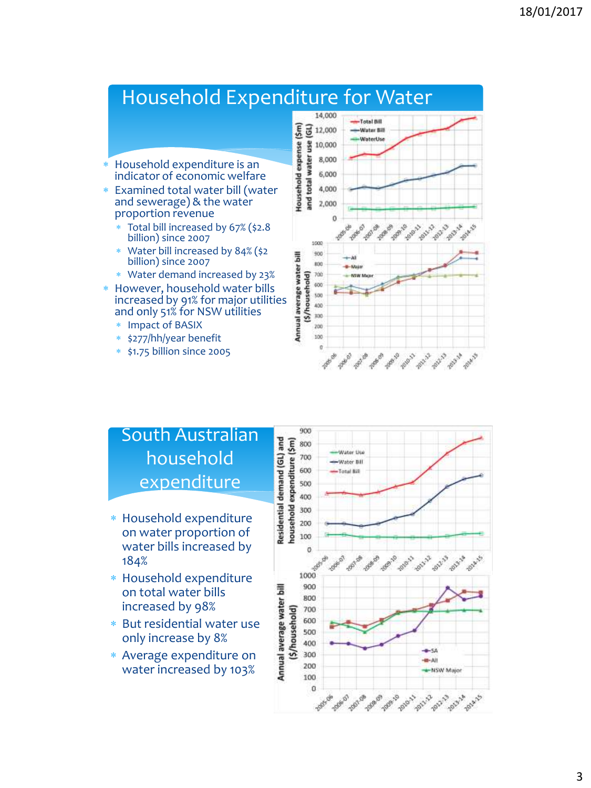#### Household Expenditure for Water 14,000 Total Bill tousehold expense (\$m)  $\overline{5}$  12,000 **Water Rill** SE 10,000<br> **EXE 10,000**<br> **EXE 10,000**<br> **EXE 10,000**<br> **EXE 10,000**<br> **EXE 10,000**<br> **EXE 10,000** WaterUse Household expenditure is an indicator of economic welfare Examined total water bill (water and sewerage) & the water proportion revenue ö **Pallist Pape Date Polky**  Total bill increased by 67% (\$2.8 billion) since 2007 5000 Water bill increased by 84% (\$2 Annual average water bill 900 billion) since 2007 ico Water demand increased by 23%  $700$ (\$/household) 600 However, household water bills 500 increased by 91% for major utilities 400 and only 51% for NSW utilities 300 Impact of BASIX 200 100 \* \$277/hh/year benefit  $\mathfrak{g}$

**PASSED** 

#### South Australian household expenditure

\$1.75 billion since 2005

- Household expenditure on water proportion of water bills increased by 184%
- Household expenditure on total water bills increased by 98%
- But residential water use only increase by 8%
- Average expenditure on water increased by 103%



and a fact and and and and and

**POINT**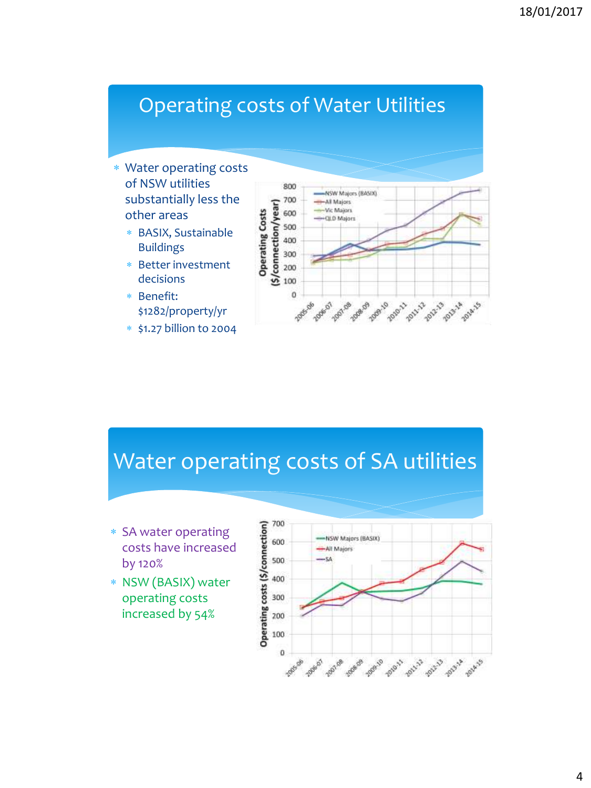# Operating costs of Water Utilities

- Water operating costs of NSW utilities substantially less the other areas
	- BASIX, Sustainable Buildings
	- Better investment decisions
	- Benefit: \$1282/property/yr
	- \$1.27 billion to 2004



## Water operating costs of SA utilities

- SA water operating costs have increased by 120%
- NSW (BASIX) water operating costs increased by 54%

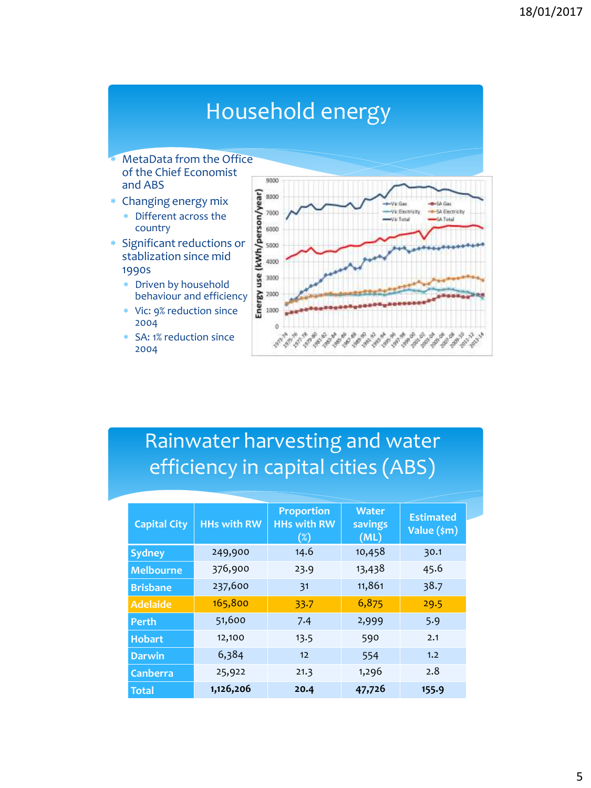## Household energy

- MetaData from the Office of the Chief Economist and ABS
- Changing energy mix
	- Different across the country
- Significant reductions or stablization since mid 1990s
	- Driven by household behaviour and efficiency
	- Vic: 9% reduction since 2004
	- SA: 1% reduction since 2004



## Rainwater harvesting and water efficiency in capital cities (ABS)

| <b>Capital City</b> | <b>HHs with RW</b> | <b>Proportion</b><br><b>HHs with RW</b><br>$(\%)$ | <b>Water</b><br>savings<br>(ML) | <b>Estimated</b><br>Value (\$m) |  |
|---------------------|--------------------|---------------------------------------------------|---------------------------------|---------------------------------|--|
| <b>Sydney</b>       | 249,900            | 14.6                                              | 10,458                          | 30.1                            |  |
| <b>Melbourne</b>    | 376,900            | 23.9                                              | 13,438                          | 45.6                            |  |
| <b>Brisbane</b>     | 237,600            | 31                                                | 11,861                          | 38.7                            |  |
| <b>Adelaide</b>     | 165,800            | 33.7                                              | 6,875                           | 29.5                            |  |
| <b>Perth</b>        | 51,600             | 7.4                                               | 2,999                           | 5.9                             |  |
| <b>Hobart</b>       | 12,100             | 13.5                                              | 590                             | 2.1                             |  |
| <b>Darwin</b>       | 6,384              | 12                                                | 554                             | 1.2                             |  |
| <b>Canberra</b>     | 25,922             | 21.3                                              | 1,296                           | 2.8                             |  |
| <b>Total</b>        | 1,126,206          | 20.4                                              | 47,726                          | 155.9                           |  |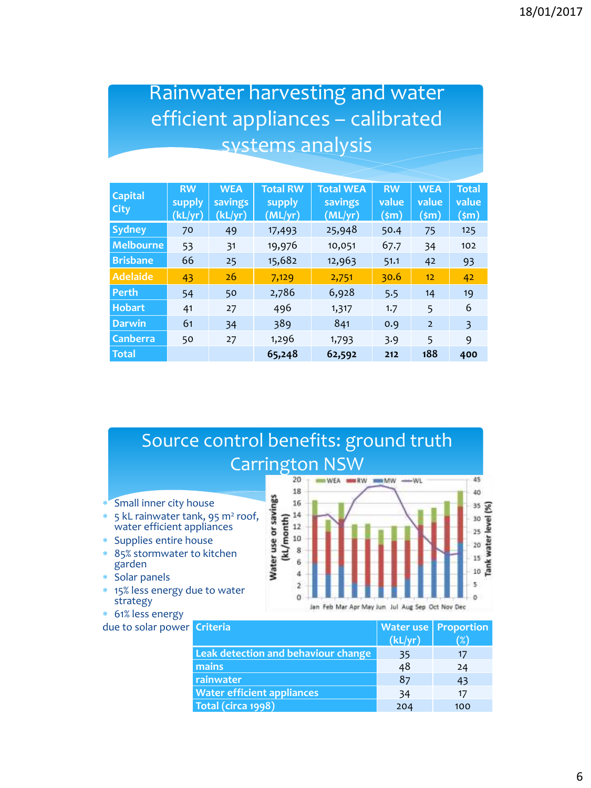### Rainwater harvesting and water efficient appliances – calibrated systems analysis

| <b>Capital</b><br><b>City</b> | <b>RW</b><br>supply<br>(kL/yr) | <b>WEA</b><br>savings<br>(kL/yr) | <b>Total RW</b><br>supply<br>(ML/yr) | <b>Total WEA</b><br>savings<br>(ML/yr) | <b>RW</b><br>value<br>(\$m) | <b>WEA</b><br>value<br>(\$m) | <b>Total</b><br>value<br>(\$m) |
|-------------------------------|--------------------------------|----------------------------------|--------------------------------------|----------------------------------------|-----------------------------|------------------------------|--------------------------------|
| <b>Sydney</b>                 | 70                             | 49                               | 17,493                               | 25,948                                 | 50.4                        | 75                           | 125                            |
| <b>Melbourne</b>              | 53                             | 31                               | 19,976                               | 10,051                                 | 67.7                        | 34                           | 102                            |
| <b>Brisbane</b>               | 66                             | 25                               | 15,682                               | 12,963                                 | 51.1                        | 42                           | 93                             |
| <b>Adelaide</b>               | 43                             | 26                               | 7,129                                | 2,751                                  | 30.6                        | 12                           | 42                             |
| <b>Perth</b>                  | 54                             | 50                               | 2,786                                | 6,928                                  | 5.5                         | 14                           | 19                             |
| <b>Hobart</b>                 | 41                             | 27                               | 496                                  | 1,317                                  | 1.7                         | 5                            | 6                              |
| <b>Darwin</b>                 | 61                             | 34                               | 389                                  | 841                                    | 0.9                         | $\overline{2}$               | 3                              |
| <b>Canberra</b>               | 50                             | 27                               | 1,296                                | 1,793                                  | 3.9                         | 5                            | 9                              |
| <b>Total</b>                  |                                |                                  | 65,248                               | 62,592                                 | 212                         | 188                          | 400                            |



| a criterial                         |         | <b>Water use</b>   Proportion |
|-------------------------------------|---------|-------------------------------|
|                                     | (kL/yr) | $(\%)$                        |
| Leak detection and behaviour change | 35      | 17                            |
| mains                               | 48      | 24                            |
| rainwater                           | 87      | 43                            |
| <b>Water efficient appliances</b>   | 34      | 17                            |
| Total (circa 1998)                  | 204     | 100                           |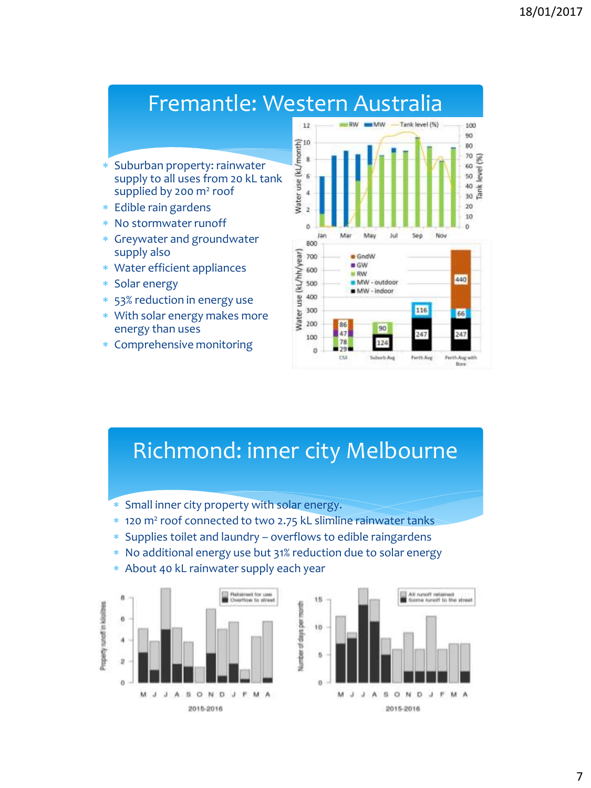#### Fremantle: Western Australia

- Suburban property: rainwater supply to all uses from 20 kL tank supplied by 200 m<sup>2</sup> roof
- Edible rain gardens
- No stormwater runoff
- Greywater and groundwater supply also
- Water efficient appliances
- Solar energy
- 53% reduction in energy use
- With solar energy makes more energy than uses
- Comprehensive monitoring



### Richmond: inner city Melbourne

- Small inner city property with solar energy.
- 120 m<sup>2</sup> roof connected to two 2.75 kL slimline rainwater tanks
- Supplies toilet and laundry overflows to edible raingardens
- No additional energy use but 31% reduction due to solar energy
- About 40 kL rainwater supply each year



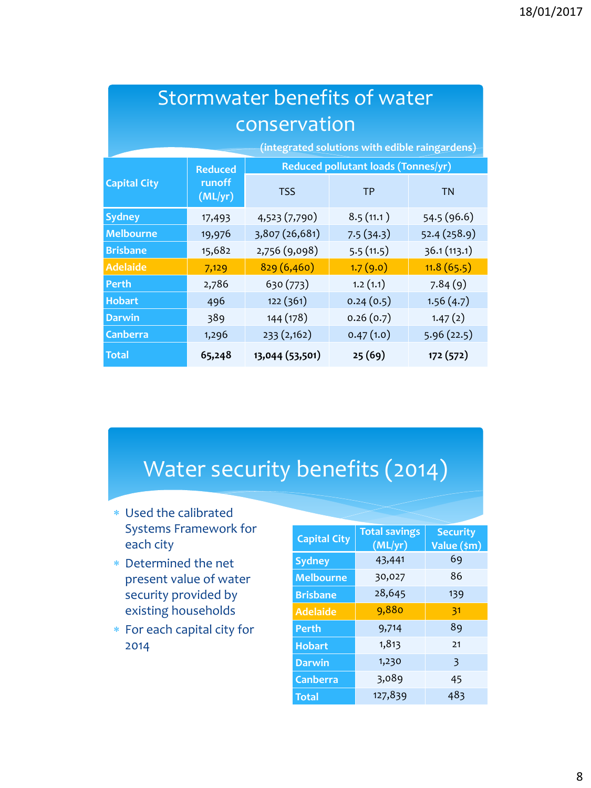| Stormwater benefits of water                   |                                                       |                 |           |              |  |  |
|------------------------------------------------|-------------------------------------------------------|-----------------|-----------|--------------|--|--|
| conservation                                   |                                                       |                 |           |              |  |  |
| (integrated solutions with edible raingardens) |                                                       |                 |           |              |  |  |
|                                                | Reduced pollutant loads (Tonnes/yr)<br><b>Reduced</b> |                 |           |              |  |  |
| <b>Capital City</b>                            | runoff<br>(ML/yr)                                     | <b>TSS</b>      | <b>TP</b> | <b>TN</b>    |  |  |
| <b>Sydney</b>                                  | 17,493                                                | 4,523 (7,790)   | 8.5(11.1) | 54.5 (96.6)  |  |  |
| <b>Melbourne</b>                               | 19,976                                                | 3,807 (26,681)  | 7.5(34.3) | 52.4 (258.9) |  |  |
| <b>Brisbane</b>                                | 15,682                                                | 2,756 (9,098)   | 5.5(11.5) | 36.1(113.1)  |  |  |
| <b>Adelaide</b>                                | 7,129                                                 | 829(6,460)      | 1.7(9.0)  | 11.8(65.5)   |  |  |
| Perth                                          | 2,786                                                 | 630 (773)       | 1.2(1.1)  | 7.84(9)      |  |  |
| <b>Hobart</b>                                  | 496                                                   | 122 (361)       | 0.24(0.5) | 1.56(4.7)    |  |  |
| <b>Darwin</b>                                  | 389                                                   | 144 (178)       | 0.26(0.7) | 1.47(2)      |  |  |
| <b>Canberra</b>                                | 1,296                                                 | 233 (2,162)     | 0.47(1.0) | 5.96(22.5)   |  |  |
| <b>Total</b>                                   | 65,248                                                | 13,044 (53,501) | 25(69)    | 172 (572)    |  |  |

# Water security benefits (2014)

- Used the calibrated Systems Framework for each city
- Determined the net present value of water security provided by existing households
- For each capital city for 2014

| <b>Capital City</b> | <b>Total savings</b><br>(ML/yr) | <b>Security</b><br>Value (\$m) |  |
|---------------------|---------------------------------|--------------------------------|--|
| <b>Sydney</b>       | 43,441                          | 69                             |  |
| <b>Melbourne</b>    | 30,027                          | 86                             |  |
| <b>Brisbane</b>     | 28,645                          | 139                            |  |
| <b>Adelaide</b>     | 9,880                           | 31                             |  |
| <b>Perth</b>        | 9,714                           | 89                             |  |
| <b>Hobart</b>       | 1,813                           | 21                             |  |
| <b>Darwin</b>       | 1,230                           | 3                              |  |
| Canberra            | 3,089                           | 45                             |  |
| <b>Total</b>        | 127,839                         | 483                            |  |